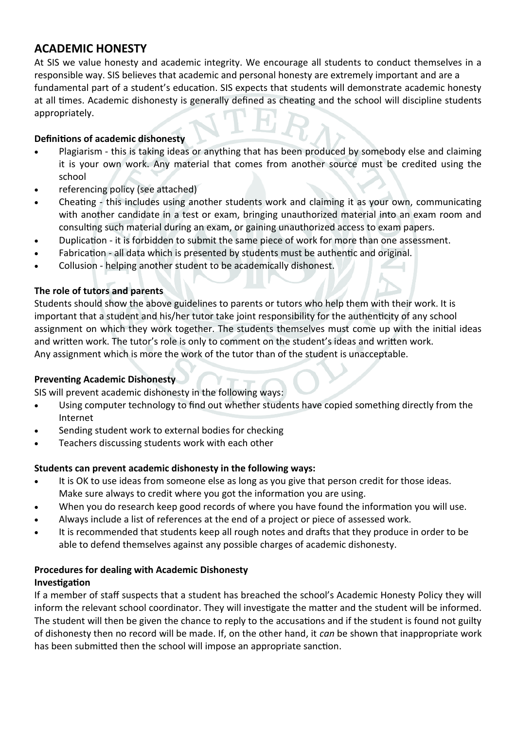## **ACADEMIC HONESTY**

At SIS we value honesty and academic integrity. We encourage all students to conduct themselves in a responsible way. SIS believes that academic and personal honesty are extremely important and are a fundamental part of a student's education. SIS expects that students will demonstrate academic honesty at all times. Academic dishonesty is generally defined as cheating and the school will discipline students appropriately.

#### **Definitions of academic dishonesty**

- Plagiarism this is taking ideas or anything that has been produced by somebody else and claiming it is your own work. Any material that comes from another source must be credited using the school
- referencing policy (see attached)
- Cheating this includes using another students work and claiming it as your own, communicating with another candidate in a test or exam, bringing unauthorized material into an exam room and consulting such material during an exam, or gaining unauthorized access to exam papers.
- Duplication it is forbidden to submit the same piece of work for more than one assessment.
- Fabrication all data which is presented by students must be authentic and original.
- Collusion helping another student to be academically dishonest.

#### **The role of tutors and parents**

Students should show the above guidelines to parents or tutors who help them with their work. It is important that a student and his/her tutor take joint responsibility for the authenticity of any school assignment on which they work together. The students themselves must come up with the initial ideas and written work. The tutor's role is only to comment on the student's ideas and written work. Any assignment which is more the work of the tutor than of the student is unacceptable.

#### **Preventing Academic Dishonesty**

SIS will prevent academic dishonesty in the following ways:

- Using computer technology to find out whether students have copied something directly from the Internet
- Sending student work to external bodies for checking
- **•** Teachers discussing students work with each other

#### **Students can prevent academic dishonesty in the following ways:**

- It is OK to use ideas from someone else as long as you give that person credit for those ideas. Make sure always to credit where you got the information you are using.
- When you do research keep good records of where you have found the information you will use.
- Always include a list of references at the end of a project or piece of assessed work.
- It is recommended that students keep all rough notes and drafts that they produce in order to be able to defend themselves against any possible charges of academic dishonesty.

# **Procedures for dealing with Academic Dishonesty**

#### **Investigation**

If a member of staff suspects that a student has breached the school's Academic Honesty Policy they will inform the relevant school coordinator. They will investigate the matter and the student will be informed. The student will then be given the chance to reply to the accusations and if the student is found not guilty of dishonesty then no record will be made. If, on the other hand, it *can* be shown that inappropriate work has been submitted then the school will impose an appropriate sanction.